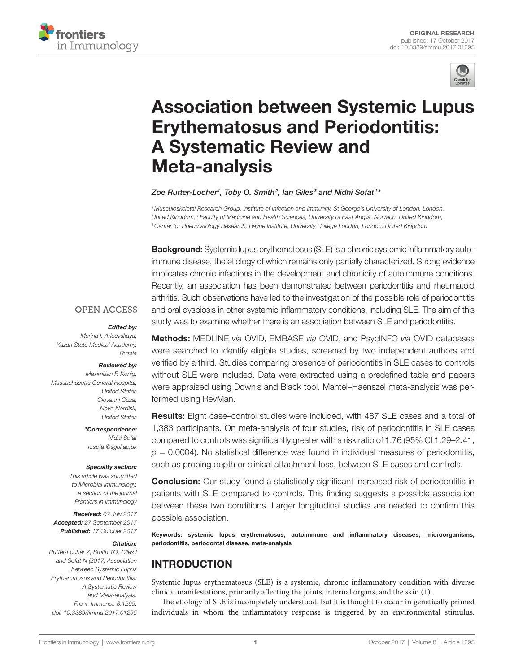



# **Association between Systemic Lupus Erythematosus and Periodontitis: A Systematic Review and Meta-analysis**

#### *[Zoe Rutter-Locher](http://loop.frontiersin.org/people/456038)1 , [Toby O. Smith](http://loop.frontiersin.org/people/324578)2 , Ian Giles <sup>3</sup> and [Nidhi Sofat](http://loop.frontiersin.org/people/139484) <sup>1</sup> \**

<sup>1</sup> Musculoskeletal Research Group, Institute of Infection and Immunity, St George's University of London, London, *United Kingdom, 2 Faculty of Medicine and Health Sciences, University of East Anglia, Norwich, United Kingdom, 3Center for Rheumatology Research, Rayne Institute, University College London, London, United Kingdom*

**Background:** Systemic lupus erythematosus (SLE) is a chronic systemic inflammatory autoimmune disease, the etiology of which remains only partially characterized. Strong evidence implicates chronic infections in the development and chronicity of autoimmune conditions. Recently, an association has been demonstrated between periodontitis and rheumatoid arthritis. Such observations have led to the investigation of the possible role of periodontitis and oral dysbiosis in other systemic inflammatory conditions, including SLE. The aim of this study was to examine whether there is an association between SLE and periodontitis.

#### **OPEN ACCESS**

#### *Edited by:*

*Marina I. Arleevskaya, Kazan State Medical Academy, Russia*

#### *Reviewed by:*

*Maximilian F. Konig, Massachusetts General Hospital, United States Giovanni Cizza, Novo Nordisk, United States*

> *\*Correspondence: Nidhi Sofat [n.sofat@sgul.ac.uk](mailto:n.sofat@sgul.ac.uk)*

#### *Specialty section:*

*This article was submitted to Microbial Immunology, a section of the journal Frontiers in Immunology*

*Received: 02 July 2017 Accepted: 27 September 2017 Published: 17 October 2017*

#### *Citation:*

*Rutter-Locher Z, Smith TO, Giles I and Sofat N (2017) Association between Systemic Lupus Erythematosus and Periodontitis: A Systematic Review and Meta-analysis. Front. Immunol. 8:1295. doi: [10.3389/fimmu.2017.01295](https://doi.org/10.3389/fimmu.2017.01295)*

Methods: MEDLINE *via* OVID, EMBASE *via* OVID, and PsycINFO *via* OVID databases were searched to identify eligible studies, screened by two independent authors and verified by a third. Studies comparing presence of periodontitis in SLE cases to controls without SLE were included. Data were extracted using a predefined table and papers were appraised using Down's and Black tool. Mantel–Haenszel meta-analysis was performed using RevMan.

**Results:** Eight case–control studies were included, with 487 SLE cases and a total of 1,383 participants. On meta-analysis of four studies, risk of periodontitis in SLE cases compared to controls was significantly greater with a risk ratio of 1.76 (95% CI 1.29–2.41,  $p = 0.0004$ ). No statistical difference was found in individual measures of periodontitis, such as probing depth or clinical attachment loss, between SLE cases and controls.

**Conclusion:** Our study found a statistically significant increased risk of periodontitis in patients with SLE compared to controls. This finding suggests a possible association between these two conditions. Larger longitudinal studies are needed to confirm this possible association.

Keywords: systemic lupus erythematosus, autoimmune and inflammatory diseases, microorganisms, periodontitis, periodontal disease, meta-analysis

# INTRODUCTION

Systemic lupus erythematosus (SLE) is a systemic, chronic inflammatory condition with diverse clinical manifestations, primarily affecting the joints, internal organs, and the skin ([1](#page-7-0)).

The etiology of SLE is incompletely understood, but it is thought to occur in genetically primed individuals in whom the inflammatory response is triggered by an environmental stimulus.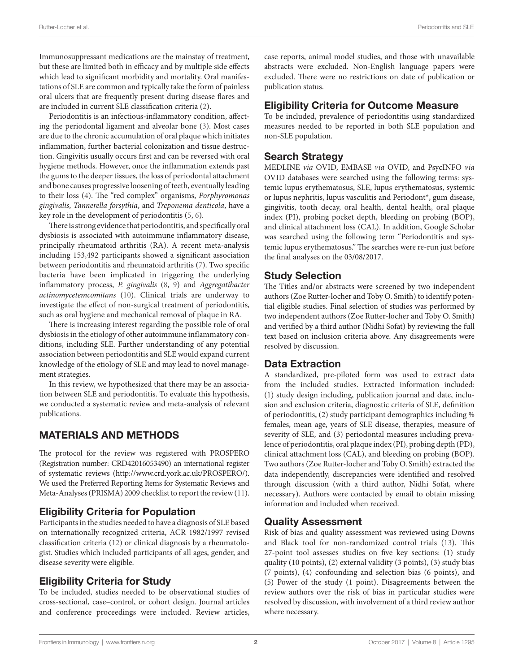Immunosuppressant medications are the mainstay of treatment, but these are limited both in efficacy and by multiple side effects which lead to significant morbidity and mortality. Oral manifestations of SLE are common and typically take the form of painless oral ulcers that are frequently present during disease flares and are included in current SLE classification criteria ([2](#page-7-1)).

Periodontitis is an infectious-inflammatory condition, affecting the periodontal ligament and alveolar bone [\(3\)](#page-7-2). Most cases are due to the chronic accumulation of oral plaque which initiates inflammation, further bacterial colonization and tissue destruction. Gingivitis usually occurs first and can be reversed with oral hygiene methods. However, once the inflammation extends past the gums to the deeper tissues, the loss of periodontal attachment and bone causes progressive loosening of teeth, eventually leading to their loss ([4](#page-7-3)). The "red complex" organisms, *Porphyromonas gingivalis*, *Tannerella forsythia*, and *Treponema denticola*, have a key role in the development of periodontitis [\(5,](#page-7-4) [6\)](#page-7-5).

There is strong evidence that periodontitis, and specifically oral dysbiosis is associated with autoimmune inflammatory disease, principally rheumatoid arthritis (RA). A recent meta-analysis including 153,492 participants showed a significant association between periodontitis and rheumatoid arthritis [\(7\)](#page-7-6). Two specific bacteria have been implicated in triggering the underlying inflammatory process, *P. gingivalis* [\(8](#page-7-7), [9](#page-7-8)) and *Aggregatibacter actinomycetemcomitans* ([10\)](#page-7-9). Clinical trials are underway to investigate the effect of non-surgical treatment of periodontitis, such as oral hygiene and mechanical removal of plaque in RA.

There is increasing interest regarding the possible role of oral dysbiosis in the etiology of other autoimmune inflammatory conditions, including SLE. Further understanding of any potential association between periodontitis and SLE would expand current knowledge of the etiology of SLE and may lead to novel management strategies.

In this review, we hypothesized that there may be an association between SLE and periodontitis. To evaluate this hypothesis, we conducted a systematic review and meta-analysis of relevant publications.

## MATERIALS AND METHODS

The protocol for the review was registered with PROSPERO (Registration number: CRD42016053490) an international register of systematic reviews [\(http://www.crd.york.ac.uk/PROSPERO/\)](http://www.crd.york.ac.uk/PROSPERO/). We used the Preferred Reporting Items for Systematic Reviews and Meta-Analyses (PRISMA) 2009 checklist to report the review ([11\)](#page-7-10).

## Eligibility Criteria for Population

Participants in the studies needed to have a diagnosis of SLE based on internationally recognized criteria, ACR 1982/1997 revised classification criteria [\(12\)](#page-7-11) or clinical diagnosis by a rheumatologist. Studies which included participants of all ages, gender, and disease severity were eligible.

## Eligibility Criteria for Study

To be included, studies needed to be observational studies of cross-sectional, case–control, or cohort design. Journal articles and conference proceedings were included. Review articles,

case reports, animal model studies, and those with unavailable abstracts were excluded. Non-English language papers were excluded. There were no restrictions on date of publication or publication status.

#### Eligibility Criteria for Outcome Measure

To be included, prevalence of periodontitis using standardized measures needed to be reported in both SLE population and non-SLE population.

#### Search Strategy

MEDLINE *via* OVID, EMBASE *via* OVID, and PsycINFO *via* OVID databases were searched using the following terms: systemic lupus erythematosus, SLE, lupus erythematosus, systemic or lupus nephritis, lupus vasculitis and Periodont\*, gum disease, gingivitis, tooth decay, oral health, dental health, oral plaque index (PI), probing pocket depth, bleeding on probing (BOP), and clinical attachment loss (CAL). In addition, Google Scholar was searched using the following term "Periodontitis and systemic lupus erythematosus." The searches were re-run just before the final analyses on the 03/08/2017.

## Study Selection

The Titles and/or abstracts were screened by two independent authors (Zoe Rutter-locher and Toby O. Smith) to identify potential eligible studies. Final selection of studies was performed by two independent authors (Zoe Rutter-locher and Toby O. Smith) and verified by a third author (Nidhi Sofat) by reviewing the full text based on inclusion criteria above. Any disagreements were resolved by discussion.

#### Data Extraction

A standardized, pre-piloted form was used to extract data from the included studies. Extracted information included: (1) study design including, publication journal and date, inclusion and exclusion criteria, diagnostic criteria of SLE, definition of periodontitis, (2) study participant demographics including % females, mean age, years of SLE disease, therapies, measure of severity of SLE, and (3) periodontal measures including prevalence of periodontitis, oral plaque index (PI), probing depth (PD), clinical attachment loss (CAL), and bleeding on probing (BOP). Two authors (Zoe Rutter-locher and Toby O. Smith) extracted the data independently, discrepancies were identified and resolved through discussion (with a third author, Nidhi Sofat, where necessary). Authors were contacted by email to obtain missing information and included when received.

## Quality Assessment

Risk of bias and quality assessment was reviewed using Downs and Black tool for non-randomized control trials [\(13\)](#page-7-12). This 27-point tool assesses studies on five key sections: (1) study quality (10 points), (2) external validity (3 points), (3) study bias (7 points), (4) confounding and selection bias (6 points), and (5) Power of the study (1 point). Disagreements between the review authors over the risk of bias in particular studies were resolved by discussion, with involvement of a third review author where necessary.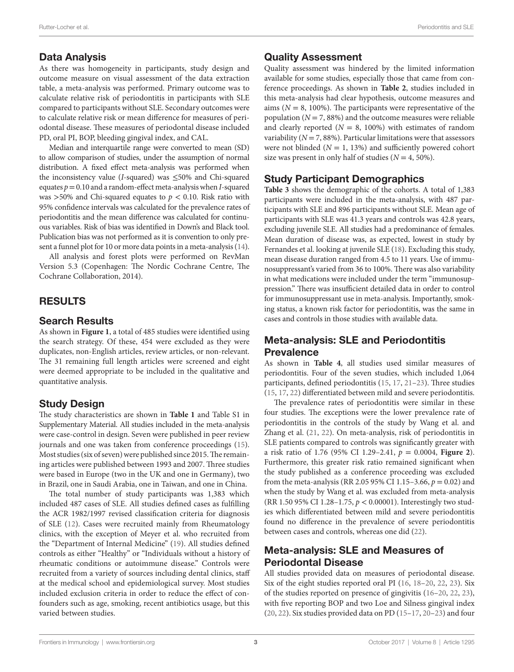## Data Analysis

As there was homogeneity in participants, study design and outcome measure on visual assessment of the data extraction table, a meta-analysis was performed. Primary outcome was to calculate relative risk of periodontitis in participants with SLE compared to participants without SLE. Secondary outcomes were to calculate relative risk or mean difference for measures of periodontal disease. These measures of periodontal disease included PD, oral PI, BOP, bleeding gingival index, and CAL.

Median and interquartile range were converted to mean (SD) to allow comparison of studies, under the assumption of normal distribution. A fixed effect meta-analysis was performed when the inconsistency value (*I*-squared) was ≤50% and Chi-squared equates *p*= 0.10 and a random-effect meta-analysis when *I*-squared was  $>50\%$  and Chi-squared equates to  $p < 0.10$ . Risk ratio with 95% confidence intervals was calculated for the prevalence rates of periodontitis and the mean difference was calculated for continuous variables. Risk of bias was identified in Down's and Black tool. Publication bias was not performed as it is convention to only present a funnel plot for 10 or more data points in a meta-analysis [\(14\)](#page-7-13).

All analysis and forest plots were performed on RevMan Version 5.3 (Copenhagen: The Nordic Cochrane Centre, The Cochrane Collaboration, 2014).

# RESULTS

#### Search Results

As shown in **[Figure 1](#page-3-0)**, a total of 485 studies were identified using the search strategy. Of these, 454 were excluded as they were duplicates, non-English articles, review articles, or non-relevant. The 31 remaining full length articles were screened and eight were deemed appropriate to be included in the qualitative and quantitative analysis.

#### Study Design

The study characteristics are shown in **[Table 1](#page-4-0)** and Table S1 in Supplementary Material. All studies included in the meta-analysis were case-control in design. Seven were published in peer review journals and one was taken from conference proceedings (15). Most studies (six of seven) were published since 2015. The remaining articles were published between 1993 and 2007. Three studies were based in Europe (two in the UK and one in Germany), two in Brazil, one in Saudi Arabia, one in Taiwan, and one in China.

The total number of study participants was 1,383 which included 487 cases of SLE. All studies defined cases as fulfilling the ACR 1982/1997 revised classification criteria for diagnosis of SLE [\(12](#page-7-11)). Cases were recruited mainly from Rheumatology clinics, with the exception of Meyer et al. who recruited from the "Department of Internal Medicine" (19). All studies defined controls as either "Healthy" or "Individuals without a history of rheumatic conditions or autoimmune disease." Controls were recruited from a variety of sources including dental clinics, staff at the medical school and epidemiological survey. Most studies included exclusion criteria in order to reduce the effect of confounders such as age, smoking, recent antibiotics usage, but this varied between studies.

#### Quality Assessment

Quality assessment was hindered by the limited information available for some studies, especially those that came from conference proceedings. As shown in **[Table 2](#page-4-1)**, studies included in this meta-analysis had clear hypothesis, outcome measures and aims ( $N = 8$ , 100%). The participants were representative of the population  $(N = 7, 88%)$  and the outcome measures were reliable and clearly reported  $(N = 8, 100\%)$  with estimates of random variability  $(N = 7, 88\%)$ . Particular limitations were that assessors were not blinded  $(N = 1, 13%)$  and sufficiently powered cohort size was present in only half of studies  $(N = 4, 50\%).$ 

#### Study Participant Demographics

**[Table 3](#page-5-0)** shows the demographic of the cohorts. A total of 1,383 participants were included in the meta-analysis, with 487 participants with SLE and 896 participants without SLE. Mean age of participants with SLE was 41.3 years and controls was 42.8 years, excluding juvenile SLE. All studies had a predominance of females. Mean duration of disease was, as expected, lowest in study by Fernandes et al. looking at juvenile SLE (18). Excluding this study, mean disease duration ranged from 4.5 to 11 years. Use of immunosuppressant's varied from 36 to 100%. There was also variability in what medications were included under the term "immunosuppression." There was insufficient detailed data in order to control for immunosuppressant use in meta-analysis. Importantly, smoking status, a known risk factor for periodontitis, was the same in cases and controls in those studies with available data.

## Meta-analysis: SLE and Periodontitis Prevalence

As shown in **[Table 4](#page-5-1)**, all studies used similar measures of periodontitis. Four of the seven studies, which included 1,064 participants, defined periodontitis (15, 17, 21–[23\)](#page-7-14). Three studies (15, 17, 22) differentiated between mild and severe periodontitis.

The prevalence rates of periodontitis were similar in these four studies. The exceptions were the lower prevalence rate of periodontitis in the controls of the study by Wang et al. and Zhang et al. (21, 22). On meta-analysis, risk of periodontitis in SLE patients compared to controls was significantly greater with a risk ratio of 1.76 (95% CI 1.29–2.41, *p* = 0.0004, **[Figure 2](#page-5-2)**). Furthermore, this greater risk ratio remained significant when the study published as a conference proceeding was excluded from the meta-analysis (RR 2.05 95% CI 1.15–3.66, *p* = 0.02) and when the study by Wang et al. was excluded from meta-analysis (RR 1.50 95% CI 1.28–1.75, *p* < 0.00001). Interestingly two studies which differentiated between mild and severe periodontitis found no difference in the prevalence of severe periodontitis between cases and controls, whereas one did (22).

## Meta-analysis: SLE and Measures of Periodontal Disease

All studies provided data on measures of periodontal disease. Six of the eight studies reported oral PI (16, 18–20, 22, [23](#page-7-14)). Six of the studies reported on presence of gingivitis (16–20, 22, [23](#page-7-14)), with five reporting BOP and two Loe and Silness gingival index (20, 22). Six studies provided data on PD (15–17, 20–[23\)](#page-7-14) and four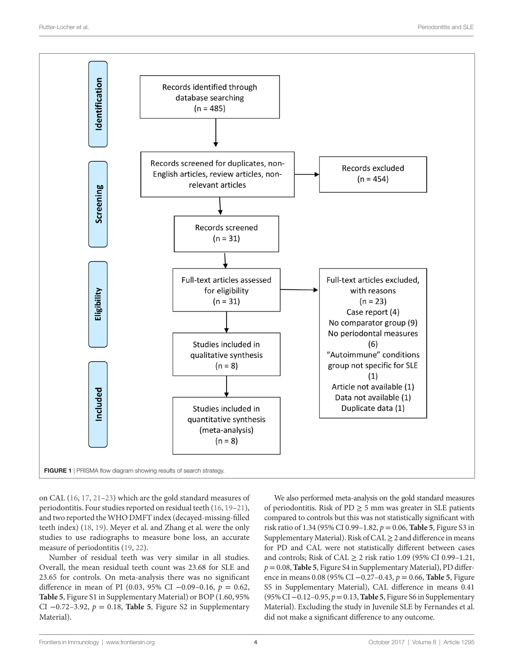

<span id="page-3-0"></span>on CAL (16, 17, 21–[23](#page-7-14)) which are the gold standard measures of periodontitis. Four studies reported on residual teeth (16, 19–21), and two reported the WHO DMFT index (decayed-missing-filled teeth index) (18, 19). Meyer et al. and Zhang et al. were the only studies to use radiographs to measure bone loss, an accurate measure of periodontitis (19, 22).

Number of residual teeth was very similar in all studies. Overall, the mean residual teeth count was 23.68 for SLE and 23.65 for controls. On meta-analysis there was no significant difference in mean of PI (0.03, 95% CI −0.09–0.16, *p* = 0.62, **[Table 5](#page-6-0)**, Figure S1 in Supplementary Material) or BOP (1.60, 95% CI −0.72–3.92, *p* = 0.18, **[Table 5](#page-6-0)**, Figure S2 in Supplementary Material).

We also performed meta-analysis on the gold standard measures of periodontitis. Risk of PD  $\geq$  5 mm was greater in SLE patients compared to controls but this was not statistically significant with risk ratio of 1.34 (95% CI 0.99–1.82, *p* = 0.06, **[Table 5](#page-6-0)**, Figure S3 in Supplementary Material). Risk of CAL  $\geq$  2 and difference in means for PD and CAL were not statistically different between cases and controls; Risk of CAL  $\geq$  2 risk ratio 1.09 (95% CI 0.99–1.21, *p*= 0.08, **[Table 5](#page-6-0)**, Figure S4 in Supplementary Material), PD difference in means 0.08 (95% CI −0.27–0.43, *p* = 0.66, **[Table 5](#page-6-0)**, Figure S5 in Supplementary Material), CAL difference in means 0.41 (95% CI −0.12–0.95, *p*= 0.13, **[Table 5](#page-6-0)**, Figure S6 in Supplementary Material). Excluding the study in Juvenile SLE by Fernandes et al. did not make a significant difference to any outcome.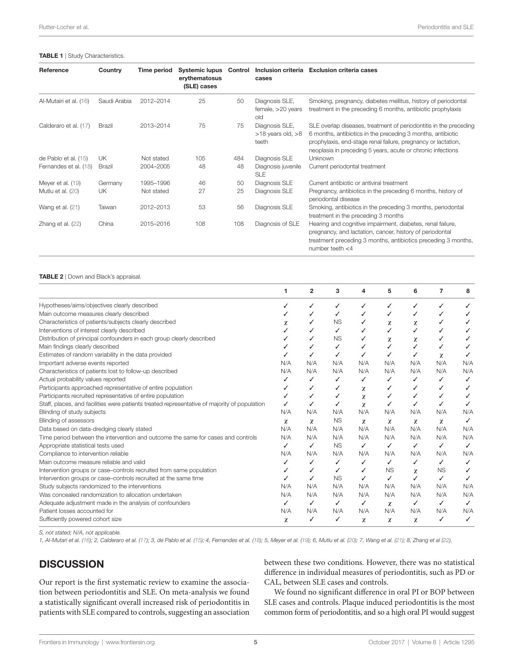<span id="page-4-0"></span>

| Reference              | Country      | Time period | <b>Systemic lupus</b><br>erythematosus<br>(SLE) cases | Control | cases                                            | Inclusion criteria Exclusion criteria cases                                                                                                                                                                                                                      |
|------------------------|--------------|-------------|-------------------------------------------------------|---------|--------------------------------------------------|------------------------------------------------------------------------------------------------------------------------------------------------------------------------------------------------------------------------------------------------------------------|
| Al-Mutairi et al. (16) | Saudi Arabia | 2012-2014   | 25                                                    | 50      | Diagnosis SLE,<br>female, $>20$ years<br>old     | Smoking, pregnancy, diabetes mellitus, history of periodontal<br>treatment in the preceding 6 months, antibiotic prophylaxis                                                                                                                                     |
| Calderaro et al. (17)  | Brazil       | 2013-2014   | 75                                                    | 75      | Diagnosis SLE,<br>$>18$ years old, $>8$<br>teeth | SLE overlap diseases, treatment of periodontitis in the preceding<br>6 months, antibiotics in the preceding 3 months, antibiotic<br>prophylaxis, end-stage renal failure, pregnancy or lactation,<br>neoplasia in preceding 5 years, acute or chronic infections |
| de Pablo et al. (15)   | UK           | Not stated  | 105                                                   | 484     | Diagnosis SLE                                    | Unknown                                                                                                                                                                                                                                                          |
| Fernandes et al. (18)  | Brazil       | 2004-2005   | 48                                                    | 48      | Diagnosis juvenile<br><b>SLE</b>                 | Current periodontal treatment                                                                                                                                                                                                                                    |
| Meyer et al. (19)      | Germany      | 1995-1996   | 46                                                    | 50      | Diagnosis SLE                                    | Current antibiotic or antiviral treatment                                                                                                                                                                                                                        |
| Mutlu et al. (20)      | UK           | Not stated  | 27                                                    | 25      | Diagnosis SLE                                    | Pregnancy, antibiotics in the preceding 6 months, history of<br>periodontal disease                                                                                                                                                                              |
| Wang et al. (21)       | Taiwan       | 2012-2013   | 53                                                    | 56      | Diagnosis SLE                                    | Smoking, antibiotics in the preceding 3 months, periodontal<br>treatment in the preceding 3 months                                                                                                                                                               |
| Zhang et al. (22)      | China        | 2015-2016   | 108                                                   | 108     | Diagnosis of SLE                                 | Hearing and cognitive impairment, diabetes, renal failure,<br>pregnancy, and lactation, cancer, history of periodontal<br>treatment preceding 3 months, antibiotics preceding 3 months,<br>number teeth $<$ 4                                                    |

<span id="page-4-1"></span>TABLE 2 | Down and Black's appraisal.

|                                                                                              |     | $\overline{2}$ | 3         | 4   | 5         | 6   | 7         | 8   |
|----------------------------------------------------------------------------------------------|-----|----------------|-----------|-----|-----------|-----|-----------|-----|
| Hypotheses/aims/objectives clearly described                                                 |     |                | J         |     |           | ✓   |           |     |
| Main outcome measures clearly described                                                      |     |                |           |     | ✓         |     |           |     |
| Characteristics of patients/subjects clearly described                                       | χ   |                | <b>NS</b> |     | χ         | χ   |           |     |
| Interventions of interest clearly described                                                  |     |                | ✓         |     |           | ✓   |           |     |
| Distribution of principal confounders in each group clearly described                        |     |                | <b>NS</b> |     | χ         | χ   |           |     |
| Main findings clearly described                                                              |     |                |           |     |           |     |           |     |
| Estimates of random variability in the data provided                                         |     |                | ✓         |     | ✓         |     | χ         |     |
| Important adverse events reported                                                            | N/A | N/A            | N/A       | N/A | N/A       | N/A | N/A       | N/A |
| Characteristics of patients lost to follow-up described                                      | N/A | N/A            | N/A       | N/A | N/A       | N/A | N/A       | N/A |
| Actual probability values reported                                                           | ✓   | $\checkmark$   | ✓         | ✓   | ✓         | ✓   | ✓         | ✓   |
| Participants approached representative of entire population                                  |     |                |           | χ   | ✓         | ✓   |           |     |
| Participants recruited representative of entire population                                   |     |                |           | χ   | ✓         | ✓   |           |     |
| Staff, places, and facilities were patients treated representative of majority of population |     |                |           | χ   | ✓         |     |           |     |
| Blinding of study subjects                                                                   | N/A | N/A            | N/A       | N/A | N/A       | N/A | N/A       | N/A |
| Blinding of assessors                                                                        | χ   | χ              | <b>NS</b> | χ   | χ         | χ   | χ         | ✓   |
| Data based on data-dredging clearly stated                                                   | N/A | N/A            | N/A       | N/A | N/A       | N/A | N/A       | N/A |
| Time period between the intervention and outcome the same for cases and controls             | N/A | N/A            | N/A       | N/A | N/A       | N/A | N/A       | N/A |
| Appropriate statistical tests used                                                           | ✓   | ✓              | <b>NS</b> | ✓   | ✓         | ✓   | ✓         | ✓   |
| Compliance to intervention reliable                                                          | N/A | N/A            | N/A       | N/A | N/A       | N/A | N/A       | N/A |
| Main outcome measure reliable and valid                                                      |     |                | ✓         | ✓   | ✓         | ✓   | ✓         |     |
| Intervention groups or case-controls recruited from same population                          |     | ✓              | ✓         |     | <b>NS</b> | χ   | <b>NS</b> |     |
| Intervention groups or case-controls recruited at the same time                              |     |                | <b>NS</b> | ✓   | ✓         | ✓   | ✓         |     |
| Study subjects randomized to the interventions                                               | N/A | N/A            | N/A       | N/A | N/A       | N/A | N/A       | N/A |
| Was concealed randomization to allocation undertaken                                         | N/A | N/A            | N/A       | N/A | N/A       | N/A | N/A       | N/A |
| Adequate adjustment made in the analysis of confounders                                      | ✓   | ✓              | ✓         | ✓   | χ         | ✓   | ✓         |     |
| Patient losses accounted for                                                                 | N/A | N/A            | N/A       | N/A | N/A       | N/A | N/A       | N/A |
| Sufficiently powered cohort size                                                             | χ   |                | ✓         | χ   | χ         | χ   |           |     |

*S, not stated; N/A, not applicable.*

1, Al-Mutari et al. ([16\)](#page-7-15); 2, Calderaro et al. ([17\)](#page-7-16); 3, de Pablo et al. ([15](#page-7-17)); 4, Fernandes et al. [\(18](#page-7-18)); 5, Meyer et al. ([19](#page-7-19)); 6, Mutlu et al. [\(20](#page-7-20)); 7, Wang et al. ([21](#page-7-21)); 8, Zhang et al [\(22\)](#page-7-22).

# **DISCUSSION**

Our report is the first systematic review to examine the association between periodontitis and SLE. On meta-analysis we found a statistically significant overall increased risk of periodontitis in patients with SLE compared to controls, suggesting an association between these two conditions. However, there was no statistical difference in individual measures of periodontitis, such as PD or CAL, between SLE cases and controls.

We found no significant difference in oral PI or BOP between SLE cases and controls. Plaque induced periodontitis is the most common form of periodontitis, and so a high oral PI would suggest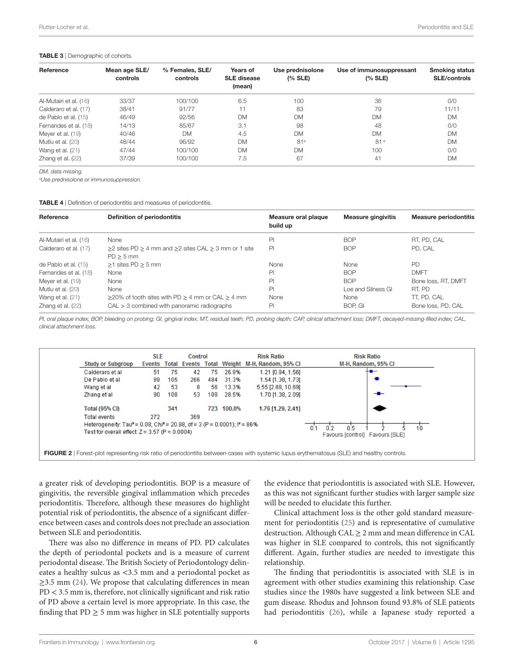#### <span id="page-5-0"></span>TABLE 3 | Demographic of cohorts.

| Reference              | Mean age SLE/<br>controls | % Females, SLE/<br>controls | Years of<br><b>SLE</b> disease<br>(mean) | Use prednisolone<br>(% SLE) | Use of immunosuppressant<br>(% SLE) | <b>Smoking status</b><br><b>SLE/controls</b> |  |
|------------------------|---------------------------|-----------------------------|------------------------------------------|-----------------------------|-------------------------------------|----------------------------------------------|--|
| Al-Mutairi et al. (16) | 33/37                     | 100/100                     | 6.5                                      | 100                         | 36                                  | 0/0                                          |  |
| Calderaro et al. (17)  | 38/41                     | 91/77                       | 11                                       | 83                          | 79                                  | 11/11                                        |  |
| de Pablo et al. (15)   | 46/49                     | 92/56                       | <b>DM</b>                                | <b>DM</b>                   | <b>DM</b>                           | <b>DM</b>                                    |  |
| Fernandes et al. (18)  | 14/13                     | 85/67                       | 3.1                                      | 98                          | 48                                  | 0/0                                          |  |
| Meyer et al. (19)      | 40/46                     | <b>DM</b>                   | 4.5                                      | <b>DM</b>                   | <b>DM</b>                           | <b>DM</b>                                    |  |
| Mutlu et al. (20)      | 48/44                     | 96/92                       | <b>DM</b>                                | 81 <sup>a</sup>             | 81 <sup>a</sup>                     | <b>DM</b>                                    |  |
| Wang et al. $(21)$     | 47/44                     | 100/100                     | <b>DM</b>                                | <b>DM</b>                   | 100                                 | 0/0                                          |  |
| Zhang et al. (22)      | 37/39                     | 100/100                     | 7.5                                      | 67                          | 41                                  | <b>DM</b>                                    |  |

*DM, data missing.*

*a Use prednisolone or immunosuppression.*

<span id="page-5-1"></span>**TABLE 4** | Definition of periodontitis and measures of periodontitis.

| Reference              | Definition of periodontitis                                                               | Measure oral plaque<br>build up | <b>Measure gingivitis</b> | <b>Measure periodontitis</b> |
|------------------------|-------------------------------------------------------------------------------------------|---------------------------------|---------------------------|------------------------------|
| Al-Mutairi et al. (16) | None                                                                                      | PI                              | <b>BOP</b>                | RT. PD. CAL                  |
| Calderaro et al. (17)  | $\geq$ 2 sites PD $\geq$ 4 mm and $\geq$ 2 sites CAL $\geq$ 3 mm or 1 site<br>$PD > 5$ mm | PI                              | <b>BOP</b>                | PD. CAL                      |
| de Pablo et al. (15)   | $>1$ sites PD $> 5$ mm                                                                    | None                            | None                      | <b>PD</b>                    |
| Fernandes et al. (18)  | None                                                                                      | PI                              | <b>BOP</b>                | <b>DMFT</b>                  |
| Meyer et al. (19)      | None                                                                                      | PI                              | <b>BOP</b>                | Bone loss, RT, DMFT          |
| Mutlu et al. (20)      | None                                                                                      | P <sub>1</sub>                  | Loe and Silness GI        | RT. PD                       |
| Wang et al. (21)       | $\geq$ 20% of tooth sites with PD $\geq$ 4 mm or CAL $\geq$ 4 mm                          | None                            | None                      | TT. PD. CAL                  |
| Zhang et al. (22)      | $CAL > 3$ combined with panoramic radiographs                                             | PI                              | BOP. GI                   | Bone loss, PD, CAL           |

*PI, oral plaque index; BOP, bleeding on probing; GI, gingival index; MT, residual teeth; PD, probing depth; CAP, clinical attachment loss; DMFT, decayed-missing-filled index; CAL, clinical attachment loss.*



<span id="page-5-2"></span>FIGURE 2 | Forest-plot representing risk ratio of periodontitis between cases with systemic lupus erythematosus (SLE) and healthy controls

a greater risk of developing periodontitis. BOP is a measure of gingivitis, the reversible gingival inflammation which precedes periodontitis. Therefore, although these measures do highlight potential risk of periodontitis, the absence of a significant difference between cases and controls does not preclude an association between SLE and periodontitis.

There was also no difference in means of PD. PD calculates the depth of periodontal pockets and is a measure of current periodontal disease. The British Society of Periodontology delineates a healthy sulcus as <3.5 mm and a periodontal pocket as  $\geq$ 3.5 mm [\(24](#page-7-23)). We propose that calculating differences in mean PD < 3.5 mm is, therefore, not clinically significant and risk ratio of PD above a certain level is more appropriate. In this case, the finding that  $PD \geq 5$  mm was higher in SLE potentially supports

the evidence that periodontitis is associated with SLE. However, as this was not significant further studies with larger sample size will be needed to elucidate this further.

Clinical attachment loss is the other gold standard measurement for periodontitis ([25\)](#page-7-24) and is representative of cumulative destruction. Although CAL  $\geq$  2 mm and mean difference in CAL was higher in SLE compared to controls, this not significantly different. Again, further studies are needed to investigate this relationship.

The finding that periodontitis is associated with SLE is in agreement with other studies examining this relationship. Case studies since the 1980s have suggested a link between SLE and gum disease. Rhodus and Johnson found 93.8% of SLE patients had periodontitis ([26](#page-7-25)), while a Japanese study reported a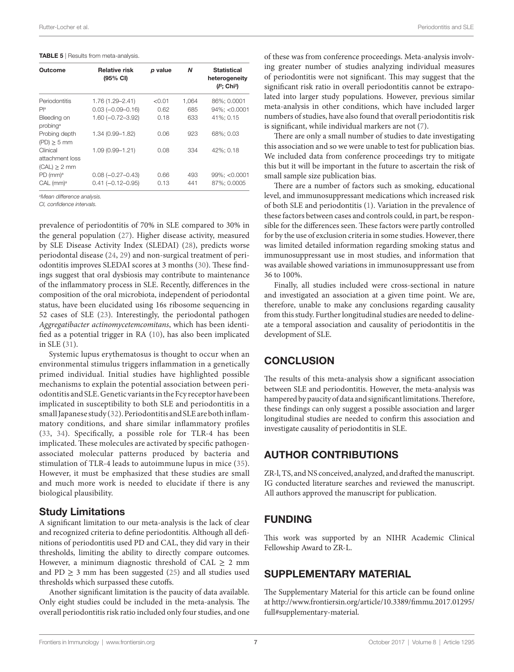#### <span id="page-6-0"></span>TABLE 5 | Results from meta-analysis.

| Outcome                                          | <b>Relative risk</b><br>$(95% \text{ Cl})$     | p value      | N          | <b>Statistical</b><br>heterogeneity<br>$(I^2; Chi^2)$ |
|--------------------------------------------------|------------------------------------------------|--------------|------------|-------------------------------------------------------|
| Periodontitis                                    | 1.76 (1.29-2.41)                               | < 0.01       | 1,064      | 86%; 0.0001                                           |
| P <sub>la</sub>                                  | $0.03(-0.09 - 0.16)$                           | 0.62         | 685        | $94\%: < 0.0001$                                      |
| Bleeding on<br>probing <sup>a</sup>              | $1.60 (-0.72 - 3.92)$                          | 0.18         | 633        | 41%: 0.15                                             |
| Probing depth<br>$(PD) \geq 5$ mm                | 1.34 (0.99-1.82)                               | 0.06         | 923        | 68%; 0.03                                             |
| Clinical<br>attachment loss<br>$(CAL) \geq 2$ mm | 1.09 (0.99-1.21)                               | 0.08         | 334        | 42%: 0.18                                             |
| $PD$ (mm) <sup>a</sup><br>CAL (mm) <sup>a</sup>  | $0.08 (-0.27 - 0.43)$<br>$0.41 (-0.12 - 0.95)$ | 0.66<br>0.13 | 493<br>441 | 99%; < 0.0001<br>87%: 0.0005                          |

*a Mean difference analysis.*

*CI, confidence intervals.*

prevalence of periodontitis of 70% in SLE compared to 30% in the general population [\(27\)](#page-7-26). Higher disease activity, measured by SLE Disease Activity Index (SLEDAI) [\(28](#page-7-27)), predicts worse periodontal disease [\(24](#page-7-23), [29\)](#page-7-28) and non-surgical treatment of periodontitis improves SLEDAI scores at 3 months [\(30\)](#page-7-29). These findings suggest that oral dysbiosis may contribute to maintenance of the inflammatory process in SLE. Recently, differences in the composition of the oral microbiota, independent of periodontal status, have been elucidated using 16s ribosome sequencing in 52 cases of SLE [\(23](#page-7-14)). Interestingly, the periodontal pathogen *Aggregatibacter actinomycetemcomitans*, which has been identified as a potential trigger in RA ([10](#page-7-9)), has also been implicated in SLE ([31\)](#page-7-30).

Systemic lupus erythematosus is thought to occur when an environmental stimulus triggers inflammation in a genetically primed individual. Initial studies have highlighted possible mechanisms to explain the potential association between periodontitis and SLE. Genetic variants in the Fcy receptor have been implicated in susceptibility to both SLE and periodontitis in a small Japanese study ([32](#page-7-31)). Periodontitis and SLE are both inflammatory conditions, and share similar inflammatory profiles ([33](#page-7-32), [34](#page-7-33)). Specifically, a possible role for TLR-4 has been implicated. These molecules are activated by specific pathogenassociated molecular patterns produced by bacteria and stimulation of TLR-4 leads to autoimmune lupus in mice [\(35\)](#page-7-34). However, it must be emphasized that these studies are small and much more work is needed to elucidate if there is any biological plausibility.

## Study Limitations

A significant limitation to our meta-analysis is the lack of clear and recognized criteria to define periodontitis. Although all definitions of periodontitis used PD and CAL, they did vary in their thresholds, limiting the ability to directly compare outcomes. However, a minimum diagnostic threshold of CAL  $\geq$  2 mm and PD  $\geq$  3 mm has been suggested [\(25](#page-7-24)) and all studies used thresholds which surpassed these cutoffs.

Another significant limitation is the paucity of data available. Only eight studies could be included in the meta-analysis. The overall periodontitis risk ratio included only four studies, and one of these was from conference proceedings. Meta-analysis involving greater number of studies analyzing individual measures of periodontitis were not significant. This may suggest that the significant risk ratio in overall periodontitis cannot be extrapolated into larger study populations. However, previous similar meta-analysis in other conditions, which have included larger numbers of studies, have also found that overall periodontitis risk is significant, while individual markers are not ([7](#page-7-6)).

There are only a small number of studies to date investigating this association and so we were unable to test for publication bias. We included data from conference proceedings try to mitigate this but it will be important in the future to ascertain the risk of small sample size publication bias.

There are a number of factors such as smoking, educational level, and immunosuppressant medications which increased risk of both SLE and periodontitis ([1](#page-7-0)). Variation in the prevalence of these factors between cases and controls could, in part, be responsible for the differences seen. These factors were partly controlled for by the use of exclusion criteria in some studies. However, there was limited detailed information regarding smoking status and immunosuppressant use in most studies, and information that was available showed variations in immunosuppressant use from 36 to 100%.

Finally, all studies included were cross-sectional in nature and investigated an association at a given time point. We are, therefore, unable to make any conclusions regarding causality from this study. Further longitudinal studies are needed to delineate a temporal association and causality of periodontitis in the development of SLE.

# **CONCLUSION**

The results of this meta-analysis show a significant association between SLE and periodontitis. However, the meta-analysis was hampered by paucity of data and significant limitations. Therefore, these findings can only suggest a possible association and larger longitudinal studies are needed to confirm this association and investigate causality of periodontitis in SLE.

# AUTHOR CONTRIBUTIONS

ZR-l, TS, and NS conceived, analyzed, and drafted the manuscript. IG conducted literature searches and reviewed the manuscript. All authors approved the manuscript for publication.

# FUNDING

This work was supported by an NIHR Academic Clinical Fellowship Award to ZR-L.

# SUPPLEMENTARY MATERIAL

The Supplementary Material for this article can be found online at [http://www.frontiersin.org/article/10.3389/fimmu.2017.01295/](http://journal.frontiersin.org/article/10.3389/fimmu.2017.01295/full#supplementary-material) [full#supplementary-material](http://journal.frontiersin.org/article/10.3389/fimmu.2017.01295/full#supplementary-material).